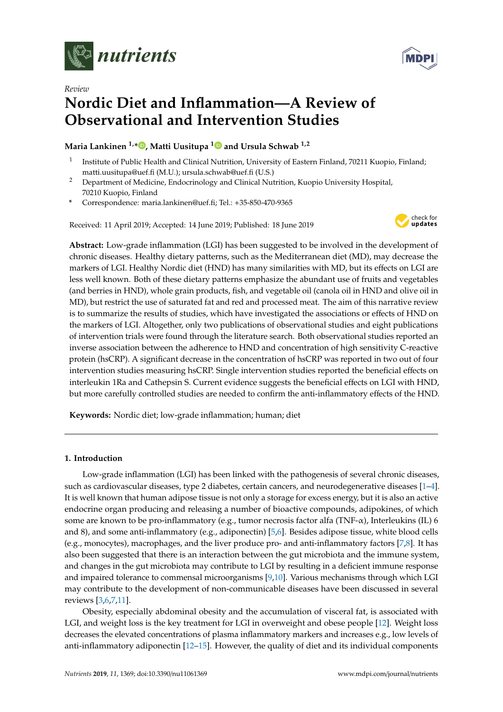

*Review*



# **Nordic Diet and Inflammation—A Review of Observational and Intervention Studies**

**Maria Lankinen 1,\* [,](https://orcid.org/0000-0002-9158-283X) Matti Uusitupa [1](https://orcid.org/0000-0001-6052-2001) and Ursula Schwab 1,2**

- 1 Institute of Public Health and Clinical Nutrition, University of Eastern Finland, 70211 Kuopio, Finland; matti.uusitupa@uef.fi (M.U.); ursula.schwab@uef.fi (U.S.)
- <sup>2</sup> Department of Medicine, Endocrinology and Clinical Nutrition, Kuopio University Hospital, 70210 Kuopio, Finland
- **\*** Correspondence: maria.lankinen@uef.fi; Tel.: +35-850-470-9365

Received: 11 April 2019; Accepted: 14 June 2019; Published: 18 June 2019



**Abstract:** Low-grade inflammation (LGI) has been suggested to be involved in the development of chronic diseases. Healthy dietary patterns, such as the Mediterranean diet (MD), may decrease the markers of LGI. Healthy Nordic diet (HND) has many similarities with MD, but its effects on LGI are less well known. Both of these dietary patterns emphasize the abundant use of fruits and vegetables (and berries in HND), whole grain products, fish, and vegetable oil (canola oil in HND and olive oil in MD), but restrict the use of saturated fat and red and processed meat. The aim of this narrative review is to summarize the results of studies, which have investigated the associations or effects of HND on the markers of LGI. Altogether, only two publications of observational studies and eight publications of intervention trials were found through the literature search. Both observational studies reported an inverse association between the adherence to HND and concentration of high sensitivity C-reactive protein (hsCRP). A significant decrease in the concentration of hsCRP was reported in two out of four intervention studies measuring hsCRP. Single intervention studies reported the beneficial effects on interleukin 1Ra and Cathepsin S. Current evidence suggests the beneficial effects on LGI with HND, but more carefully controlled studies are needed to confirm the anti-inflammatory effects of the HND.

**Keywords:** Nordic diet; low-grade inflammation; human; diet

# **1. Introduction**

Low-grade inflammation (LGI) has been linked with the pathogenesis of several chronic diseases, such as cardiovascular diseases, type 2 diabetes, certain cancers, and neurodegenerative diseases [\[1–](#page-9-0)[4\]](#page-9-1). It is well known that human adipose tissue is not only a storage for excess energy, but it is also an active endocrine organ producing and releasing a number of bioactive compounds, adipokines, of which some are known to be pro-inflammatory (e.g., tumor necrosis factor alfa (TNF-α), Interleukins (IL) 6 and 8), and some anti-inflammatory (e.g., adiponectin) [\[5](#page-9-2)[,6\]](#page-9-3). Besides adipose tissue, white blood cells (e.g., monocytes), macrophages, and the liver produce pro- and anti-inflammatory factors [\[7,](#page-9-4)[8\]](#page-9-5). It has also been suggested that there is an interaction between the gut microbiota and the immune system, and changes in the gut microbiota may contribute to LGI by resulting in a deficient immune response and impaired tolerance to commensal microorganisms [\[9,](#page-9-6)[10\]](#page-9-7). Various mechanisms through which LGI may contribute to the development of non-communicable diseases have been discussed in several reviews [\[3,](#page-9-8)[6,](#page-9-3)[7,](#page-9-4)[11\]](#page-9-9).

Obesity, especially abdominal obesity and the accumulation of visceral fat, is associated with LGI, and weight loss is the key treatment for LGI in overweight and obese people [\[12\]](#page-9-10). Weight loss decreases the elevated concentrations of plasma inflammatory markers and increases e.g., low levels of anti-inflammatory adiponectin [\[12–](#page-9-10)[15\]](#page-9-11). However, the quality of diet and its individual components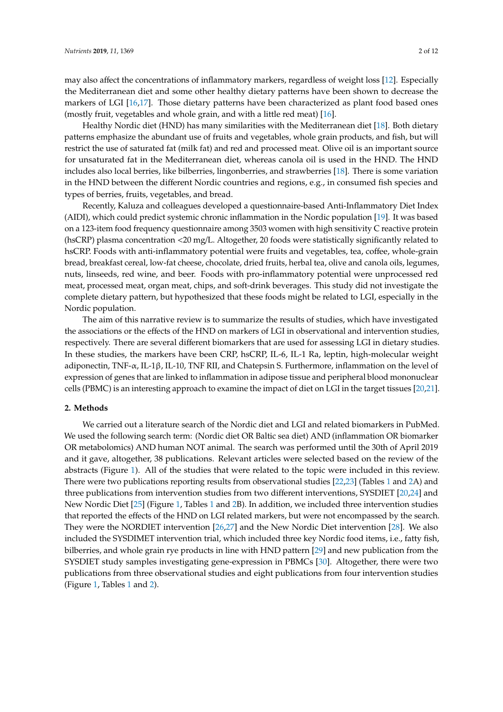may also affect the concentrations of inflammatory markers, regardless of weight loss [\[12\]](#page-9-10). Especially the Mediterranean diet and some other healthy dietary patterns have been shown to decrease the markers of LGI [\[16](#page-9-12)[,17\]](#page-9-13). Those dietary patterns have been characterized as plant food based ones (mostly fruit, vegetables and whole grain, and with a little red meat) [\[16\]](#page-9-12).

Healthy Nordic diet (HND) has many similarities with the Mediterranean diet [\[18\]](#page-9-14). Both dietary patterns emphasize the abundant use of fruits and vegetables, whole grain products, and fish, but will restrict the use of saturated fat (milk fat) and red and processed meat. Olive oil is an important source for unsaturated fat in the Mediterranean diet, whereas canola oil is used in the HND. The HND includes also local berries, like bilberries, lingonberries, and strawberries [\[18\]](#page-9-14). There is some variation in the HND between the different Nordic countries and regions, e.g., in consumed fish species and types of berries, fruits, vegetables, and bread.

Recently, Kaluza and colleagues developed a questionnaire-based Anti-Inflammatory Diet Index (AIDI), which could predict systemic chronic inflammation in the Nordic population [\[19\]](#page-10-0). It was based on a 123-item food frequency questionnaire among 3503 women with high sensitivity C reactive protein (hsCRP) plasma concentration <20 mg/L. Altogether, 20 foods were statistically significantly related to hsCRP. Foods with anti-inflammatory potential were fruits and vegetables, tea, coffee, whole-grain bread, breakfast cereal, low-fat cheese, chocolate, dried fruits, herbal tea, olive and canola oils, legumes, nuts, linseeds, red wine, and beer. Foods with pro-inflammatory potential were unprocessed red meat, processed meat, organ meat, chips, and soft-drink beverages. This study did not investigate the complete dietary pattern, but hypothesized that these foods might be related to LGI, especially in the Nordic population.

The aim of this narrative review is to summarize the results of studies, which have investigated the associations or the effects of the HND on markers of LGI in observational and intervention studies, respectively. There are several different biomarkers that are used for assessing LGI in dietary studies. In these studies, the markers have been CRP, hsCRP, IL-6, IL-1 Ra, leptin, high-molecular weight adiponectin, TNF-α, IL-1β, IL-10, TNF RII, and Chatepsin S. Furthermore, inflammation on the level of expression of genes that are linked to inflammation in adipose tissue and peripheral blood mononuclear cells (PBMC) is an interesting approach to examine the impact of diet on LGI in the target tissues [\[20](#page-10-1)[,21\]](#page-10-2).

## **2. Methods**

We carried out a literature search of the Nordic diet and LGI and related biomarkers in PubMed. We used the following search term: (Nordic diet OR Baltic sea diet) AND (inflammation OR biomarker OR metabolomics) AND human NOT animal. The search was performed until the 30th of April 2019 and it gave, altogether, 38 publications. Relevant articles were selected based on the review of the abstracts (Figure [1\)](#page-4-0). All of the studies that were related to the topic were included in this review. There were two publications reporting results from observational studies [\[22](#page-10-3)[,23\]](#page-10-4) (Tables [1](#page-2-0) and [2A](#page-3-0)) and three publications from intervention studies from two different interventions, SYSDIET [\[20,](#page-10-1)[24\]](#page-10-5) and New Nordic Diet [\[25\]](#page-10-6) (Figure [1,](#page-4-0) Tables [1](#page-2-0) and [2B](#page-3-0)). In addition, we included three intervention studies that reported the effects of the HND on LGI related markers, but were not encompassed by the search. They were the NORDIET intervention [\[26,](#page-10-7)[27\]](#page-10-8) and the New Nordic Diet intervention [\[28\]](#page-10-9). We also included the SYSDIMET intervention trial, which included three key Nordic food items, i.e., fatty fish, bilberries, and whole grain rye products in line with HND pattern [\[29\]](#page-10-10) and new publication from the SYSDIET study samples investigating gene-expression in PBMCs [\[30\]](#page-10-11). Altogether, there were two publications from three observational studies and eight publications from four intervention studies (Figure [1,](#page-4-0) Tables [1](#page-2-0) and [2\)](#page-3-0).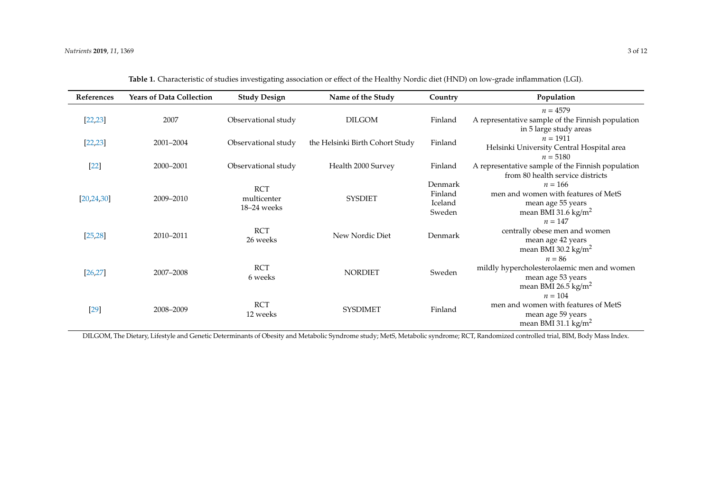| <b>References</b> | <b>Years of Data Collection</b> | <b>Study Design</b>                      | Name of the Study               | Country | Population                                                                            |
|-------------------|---------------------------------|------------------------------------------|---------------------------------|---------|---------------------------------------------------------------------------------------|
|                   |                                 |                                          |                                 |         | $n = 4579$                                                                            |
| [22, 23]          | 2007                            | Observational study                      | <b>DILGOM</b>                   | Finland | A representative sample of the Finnish population<br>in 5 large study areas           |
| [22, 23]          | 2001-2004                       | Observational study                      | the Helsinki Birth Cohort Study | Finland | $n = 1911$                                                                            |
|                   |                                 |                                          |                                 |         | Helsinki University Central Hospital area                                             |
|                   |                                 |                                          |                                 |         | $n = 5180$                                                                            |
| $[22]$            | 2000-2001                       | Observational study                      | Health 2000 Survey              | Finland | A representative sample of the Finnish population<br>from 80 health service districts |
| [20, 24, 30]      | 2009-2010                       | <b>RCT</b><br>multicenter<br>18-24 weeks | <b>SYSDIET</b>                  | Denmark | $n = 166$                                                                             |
|                   |                                 |                                          |                                 | Finland | men and women with features of MetS                                                   |
|                   |                                 |                                          |                                 | Iceland | mean age 55 years                                                                     |
|                   |                                 |                                          |                                 | Sweden  | mean BMI 31.6 $\text{kg/m}^2$                                                         |
| [25, 28]          | 2010-2011                       | <b>RCT</b><br>26 weeks                   | New Nordic Diet                 | Denmark | $n = 147$                                                                             |
|                   |                                 |                                          |                                 |         | centrally obese men and women                                                         |
|                   |                                 |                                          |                                 |         | mean age 42 years                                                                     |
|                   |                                 |                                          |                                 |         | mean BMI 30.2 $\text{kg/m}^2$                                                         |
| [26, 27]          | 2007-2008                       |                                          | <b>NORDIET</b>                  | Sweden  | $n = 86$                                                                              |
|                   |                                 | <b>RCT</b>                               |                                 |         | mildly hypercholesterolaemic men and women                                            |
|                   |                                 | 6 weeks                                  |                                 |         | mean age 53 years                                                                     |
|                   |                                 |                                          |                                 |         | mean BMI 26.5 kg/m <sup>2</sup><br>$n = 104$                                          |
| $[29]$            | 2008-2009                       | <b>RCT</b><br>12 weeks                   | <b>SYSDIMET</b>                 | Finland | men and women with features of MetS                                                   |
|                   |                                 |                                          |                                 |         | mean age 59 years                                                                     |
|                   |                                 |                                          |                                 |         | mean BMI 31.1 kg/m <sup>2</sup>                                                       |
|                   |                                 |                                          |                                 |         |                                                                                       |

**Table 1.** Characteristic of studies investigating association or effect of the Healthy Nordic diet (HND) on low-grade inflammation (LGI).

<span id="page-2-0"></span>DILGOM, The Dietary, Lifestyle and Genetic Determinants of Obesity and Metabolic Syndrome study; MetS, Metabolic syndrome; RCT, Randomized controlled trial, BIM, Body Mass Index.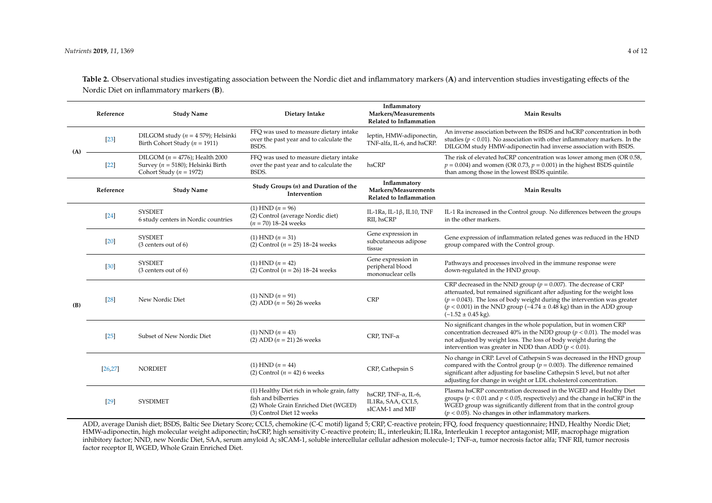**Table 2.** Observational studies investigating association between the Nordic diet and inflammatory markers (**A**) and intervention studies investigating effects of the Nordic Diet on inflammatory markers (**B**).

|     | Reference | <b>Study Name</b>                                                                                                                                                        | Dietary Intake                                                                                                                          | Inflammatory<br>Markers/Measurements<br><b>Related to Inflammation</b> | <b>Main Results</b>                                                                                                                                                                                                                                                                                                                              |
|-----|-----------|--------------------------------------------------------------------------------------------------------------------------------------------------------------------------|-----------------------------------------------------------------------------------------------------------------------------------------|------------------------------------------------------------------------|--------------------------------------------------------------------------------------------------------------------------------------------------------------------------------------------------------------------------------------------------------------------------------------------------------------------------------------------------|
| (A) | $[23]$    | FFQ was used to measure dietary intake<br>DILGOM study ( $n = 4$ 579); Helsinki<br>over the past year and to calculate the<br>Birth Cohort Study ( $n = 1911$ )<br>BSDS. |                                                                                                                                         | leptin, HMW-adiponectin,<br>TNF-alfa, IL-6, and hsCRP.                 | An inverse association between the BSDS and hsCRP concentration in both<br>studies ( $p < 0.01$ ). No association with other inflammatory markers. In the<br>DILGOM study HMW-adiponectin had inverse association with BSDS.                                                                                                                     |
|     | $[22]$    | DILGOM ( $n = 4776$ ); Health 2000<br>Survey ( $n = 5180$ ); Helsinki Birth<br>Cohort Study ( $n = 1972$ )                                                               | FFQ was used to measure dietary intake<br>over the past year and to calculate the<br>BSDS.                                              | hsCRP                                                                  | The risk of elevated hsCRP concentration was lower among men (OR 0.58,<br>$p = 0.004$ ) and women (OR 0.73, $p = 0.001$ ) in the highest BSDS quintile<br>than among those in the lowest BSDS quintile.                                                                                                                                          |
|     | Reference | <b>Study Name</b>                                                                                                                                                        | Study Groups (n) and Duration of the<br>Intervention                                                                                    | Inflammatory<br>Markers/Measurements<br>Related to Inflammation        | <b>Main Results</b>                                                                                                                                                                                                                                                                                                                              |
| (B) | $[24]$    | $(1)$ HND $(n = 96)$<br><b>SYSDIET</b><br>(2) Control (average Nordic diet)<br>6 study centers in Nordic countries<br>$(n = 70)$ 18-24 weeks                             |                                                                                                                                         | IL-1Ra, IL-1β, IL10, TNF<br>RII, hsCRP                                 | IL-1 Ra increased in the Control group. No differences between the groups<br>in the other markers.                                                                                                                                                                                                                                               |
|     | $[20]$    | <b>SYSDIET</b><br>(3 centers out of 6)                                                                                                                                   | $(1)$ HND $(n = 31)$<br>(2) Control ( $n = 25$ ) 18–24 weeks                                                                            | Gene expression in<br>subcutaneous adipose<br>tissue                   | Gene expression of inflammation related genes was reduced in the HND<br>group compared with the Control group.                                                                                                                                                                                                                                   |
|     | $[30]$    | <b>SYSDIET</b><br>(3 centers out of 6)                                                                                                                                   | $(1)$ HND $(n = 42)$<br>(2) Control ( $n = 26$ ) 18–24 weeks                                                                            | Gene expression in<br>peripheral blood<br>mononuclear cells            | Pathways and processes involved in the immune response were<br>down-regulated in the HND group.                                                                                                                                                                                                                                                  |
|     | $[28]$    | New Nordic Diet                                                                                                                                                          | $(1) NND (n = 91)$<br>(2) ADD ( $n = 56$ ) 26 weeks                                                                                     | <b>CRP</b>                                                             | CRP decreased in the NND group ( $p = 0.007$ ). The decrease of CRP<br>attenuated, but remained significant after adjusting for the weight loss<br>$(p = 0.043)$ . The loss of body weight during the intervention was greater<br>( $p < 0.001$ ) in the NND group (~4.74 $\pm$ 0.48 kg) than in the ADD group<br>$(-1.52 \pm 0.45 \text{ kg}).$ |
|     | $[25]$    | Subset of New Nordic Diet                                                                                                                                                | $(1) NND (n = 43)$<br>(2) ADD $(n = 21)$ 26 weeks                                                                                       | CRP, TNF- $\alpha$                                                     | No significant changes in the whole population, but in women CRP<br>concentration decreased 40% in the NDD group ( $p < 0.01$ ). The model was<br>not adjusted by weight loss. The loss of body weight during the<br>intervention was greater in NDD than ADD ( $p < 0.01$ ).                                                                    |
|     | [26, 27]  | <b>NORDIET</b>                                                                                                                                                           | $(1)$ HND $(n = 44)$<br>(2) Control $(n = 42)$ 6 weeks                                                                                  | CRP, Cathepsin S                                                       | No change in CRP. Level of Cathepsin S was decreased in the HND group<br>compared with the Control group ( $p = 0.003$ ). The difference remained<br>significant after adjusting for baseline Cathepsin S level, but not after<br>adjusting for change in weight or LDL cholesterol concentration.                                               |
|     | $[29]$    | <b>SYSDIMET</b>                                                                                                                                                          | (1) Healthy Diet rich in whole grain, fatty<br>fish and bilberries<br>(2) Whole Grain Enriched Diet (WGED)<br>(3) Control Diet 12 weeks | hsCRP, TNF- $\alpha$ , IL-6,<br>IL1Ra, SAA, CCL5,<br>sICAM-1 and MIF   | Plasma hsCRP concentration decreased in the WGED and Healthy Diet<br>groups ( $p < 0.01$ and $p < 0.05$ , respectively) and the change in hsCRP in the<br>WGED group was significantly different from that in the control group<br>$(p < 0.05)$ . No changes in other inflammatory markers.                                                      |

<span id="page-3-0"></span>ADD, average Danish diet; BSDS, Baltic See Dietary Score; CCL5, chemokine (C-C motif) ligand 5; CRP, C-reactive protein; FFQ, food frequency questionnaire; HND, Healthy Nordic Diet; HMW-adiponectin, high molecular weight adiponectin; hsCRP, high sensitivity C-reactive protein; IL, interleukin; IL1Ra, Interleukin 1 receptor antagonist; MIF, macrophage migration inhibitory factor; NND, new Nordic Diet, SAA, serum amyloid A; sICAM-1, soluble intercellular cellular adhesion molecule-1; TNF-α, tumor necrosis factor alfa; TNF RII, tumor necrosis factor receptor II, WGED, Whole Grain Enriched Diet.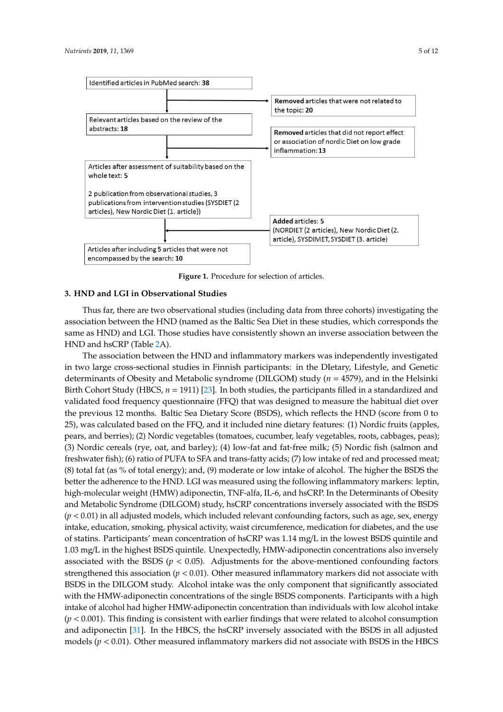<span id="page-4-0"></span>

**Figure 1.** Procedure for selection of articles. **Figure 1.** Procedure for selection of articles.

#### **3. HND and LGI in Observational Studies**

Thus far, there are two observational studies (including data from three cohorts) investigating the association between the HND (named as the Baltic Sea Diet in these studies, which corresponds the same as HND) and LGI. Those studies have consistently shown an inverse association between the HND and hsCRP (Table 2A).

The association between the HND and inflammatory markers was independently investigated in two large cross-sectional studies in Finnish participants: in the DIetary, Lifestyle, and Genetic determinants of Obesity and Metabolic syndrome (DILGOM) study (*n* = 4579), and in the Helsinki Birth Cohort Study (HBCS, *n* = 1911) [23]. In both studies, the participants filled in a standardized and validated food frequency questionnaire (FFQ) that was designed to measure the habitual diet over the previous 12 months. Baltic Sea Dietary Score (BSDS), which reflects the HND (score from 0 to 25), was calculated based on the FFQ, and it included nine dietary features: (1) Nordic fruits (apples, pears, and berries); (2) Nordic vegetables (tomatoes, cucumber, leafy vegetables, roots, cabbages, peas); (3) Nordic cereals (rye, oat, and barley); (4) low-fat and fat-free milk; (5) Nordic fish (salmon and freshwater fish); (6) ratio of PUFA to SFA and trans-fatty acids; (7) low intake of red and processed meat; (8) total fat (as % of total energy); and, (9) moderate or low intake of alcohol. The higher the BSDS the better the adherence to the HND. LGI was measured using the following inflammatory markers: leptin, high-molecular weight (HMW) adiponectin, TNF-alfa, IL-6, and hsCRP. In the Determinants of Obesity and Metabolic Syndrome (DILGOM) study, hsCRP concentrations inversely associated with the BSDS  $(p < 0.01)$  in all adjusted models, which included relevant confounding factors, such as age, sex, energy intake, education, smoking, physical activity, waist circumference, medication for diabetes, and the use of statins. Participants' mean concentration of hsCRP was 1.14 mg/L in the lowest BSDS quintile and 1.03 mg/L in the highest BSDS quintile. Unexpectedly, HMW-adiponectin concentrations also inversely associated with the BSDS ( $p < 0.05$ ). Adjustments for the above-mentioned confounding factors strengthened this association ( $p < 0.01$ ). Other measured inflammatory markers did not associate with BSDS in the DILGOM study. Alcohol intake was the only component that significantly associated with the HMW-adiponectin concentrations of the single BSDS components. Participants with a high intake of alcohol had higher HMW-adiponectin concentration than individuals with low alcohol intake  $(p < 0.001)$ . This finding is consistent with earlier findings that were related to alcohol consumption and adiponectin [\[31\]](#page-10-21). In the HBCS, the hsCRP inversely associated with the BSDS in all adjusted models ( $p < 0.01$ ). Other measured inflammatory markers did not associate with BSDS in the HBCS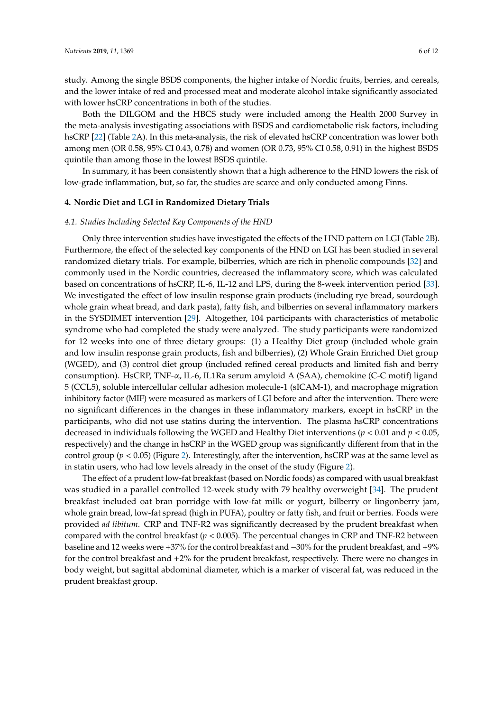study. Among the single BSDS components, the higher intake of Nordic fruits, berries, and cereals, and the lower intake of red and processed meat and moderate alcohol intake significantly associated with lower hsCRP concentrations in both of the studies.

Both the DILGOM and the HBCS study were included among the Health 2000 Survey in the meta-analysis investigating associations with BSDS and cardiometabolic risk factors, including hsCRP [\[22\]](#page-10-3) (Table [2A](#page-3-0)). In this meta-analysis, the risk of elevated hsCRP concentration was lower both among men (OR 0.58, 95% CI 0.43, 0.78) and women (OR 0.73, 95% CI 0.58, 0.91) in the highest BSDS quintile than among those in the lowest BSDS quintile.

In summary, it has been consistently shown that a high adherence to the HND lowers the risk of low-grade inflammation, but, so far, the studies are scarce and only conducted among Finns.

## **4. Nordic Diet and LGI in Randomized Dietary Trials**

#### *4.1. Studies Including Selected Key Components of the HND*

Only three intervention studies have investigated the effects of the HND pattern on LGI (Table [2B](#page-3-0)). Furthermore, the effect of the selected key components of the HND on LGI has been studied in several randomized dietary trials. For example, bilberries, which are rich in phenolic compounds [\[32\]](#page-10-22) and commonly used in the Nordic countries, decreased the inflammatory score, which was calculated based on concentrations of hsCRP, IL-6, IL-12 and LPS, during the 8-week intervention period [\[33\]](#page-10-23). We investigated the effect of low insulin response grain products (including rye bread, sourdough whole grain wheat bread, and dark pasta), fatty fish, and bilberries on several inflammatory markers in the SYSDIMET intervention [\[29\]](#page-10-10). Altogether, 104 participants with characteristics of metabolic syndrome who had completed the study were analyzed. The study participants were randomized for 12 weeks into one of three dietary groups: (1) a Healthy Diet group (included whole grain and low insulin response grain products, fish and bilberries), (2) Whole Grain Enriched Diet group (WGED), and (3) control diet group (included refined cereal products and limited fish and berry consumption). HsCRP, TNF-α, IL-6, IL1Ra serum amyloid A (SAA), chemokine (C-C motif) ligand 5 (CCL5), soluble intercellular cellular adhesion molecule-1 (sICAM-1), and macrophage migration inhibitory factor (MIF) were measured as markers of LGI before and after the intervention. There were no significant differences in the changes in these inflammatory markers, except in hsCRP in the participants, who did not use statins during the intervention. The plasma hsCRP concentrations decreased in individuals following the WGED and Healthy Diet interventions (*p* < 0.01 and *p* < 0.05, respectively) and the change in hsCRP in the WGED group was significantly different from that in the control group (*p* < 0.05) (Figure [2\)](#page-6-0). Interestingly, after the intervention, hsCRP was at the same level as in statin users, who had low levels already in the onset of the study (Figure [2\)](#page-6-0).

The effect of a prudent low-fat breakfast (based on Nordic foods) as compared with usual breakfast was studied in a parallel controlled 12-week study with 79 healthy overweight [\[34\]](#page-10-24). The prudent breakfast included oat bran porridge with low-fat milk or yogurt, bilberry or lingonberry jam, whole grain bread, low-fat spread (high in PUFA), poultry or fatty fish, and fruit or berries. Foods were provided *ad libitum*. CRP and TNF-R2 was significantly decreased by the prudent breakfast when compared with the control breakfast  $(p < 0.005)$ . The percentual changes in CRP and TNF-R2 between baseline and 12 weeks were +37% for the control breakfast and −30% for the prudent breakfast, and +9% for the control breakfast and +2% for the prudent breakfast, respectively. There were no changes in body weight, but sagittal abdominal diameter, which is a marker of visceral fat, was reduced in the prudent breakfast group.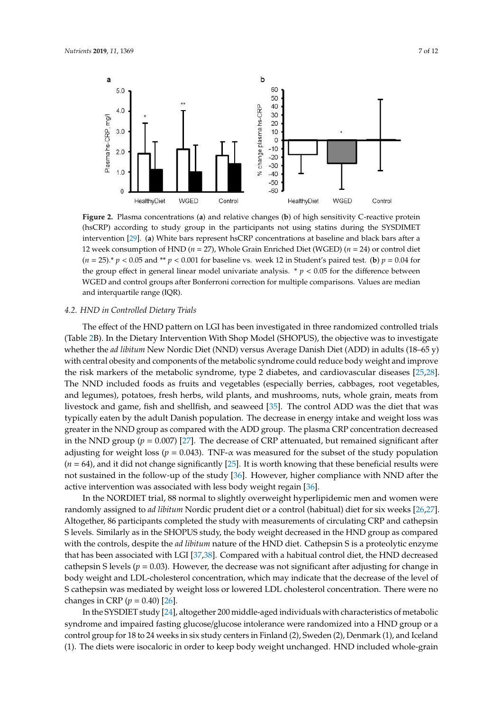<span id="page-6-0"></span>

(hsCRP) according to study group in the participants not using statins during the SYSDIMET intervention [\[29\]](#page-10-10). (**a**) White bars represent hsCRP concentrations at baseline and black bars after a 12 week consumption of HND ( $n = 27$ ), Whole Grain Enriched Diet (WGED) ( $n = 24$ ) or control diet  $(n = 25)^{*} p < 0.05$  and \*\*  $p < 0.001$  for baseline vs. week 12 in Student's paired test. (b)  $p = 0.04$  for the group effect in general linear model univariate analysis. \*  $p < 0.05$  for the difference between WGED and control groups after Bonferroni correction for multiple comparisons. Values are median and interquartile range (IQR).  $\overline{Q}$ **Figure 2.** Plasma concentrations (**a**) and relative changes (**b**) of high sensitivity C-reactive protein

## interquartile range (IQR). *4.2. HND in Controlled Dietary Trials*

The effect of the HND pattern on LGI has been investigated in three randomized controlled trials The above and the parallel parallel controlled 12-week study with 2-week study with  $\sim$  19 healthy  $\sim$  19 healthy Intervention With Shop Model (SHOPUS), the objective was to investigate whether the *ad libitum* New Nordic Diet (NND) versus Average Danish Diet (ADD) in adults (18–65 y) with central obesity and components of the metabolic syndrome could reduce body weight and improve the risk markers of the metabolic syndrome, type 2 diabetes, and cardiovascular diseases [\[25,](#page-10-6)[28\]](#page-10-9). The NND included foods as fruits and vegetables (especially berries, cabbages, root vegetables, and legumes), potatoes, fresh herbs, wild plants, and mushrooms, nuts, whole grain, meats from livestock and game, fish and shellfish, and seaweed [\[35\]](#page-11-0). The control ADD was the diet that was typically eaten by the adult Danish population. The decrease in energy intake and weight loss was greater in the NND group as compared with the ADD group. The plasma CRP concentration decreased in the NND group (*p* = 0.007) [\[27\]](#page-10-8). The decrease of CRP attenuated, but remained significant after  $(n = 64)$ , and it did not change significantly [25]. It is worth knowing that these beneficial results were not sustained in the follow-up of the study [36]. However, higher compliance with NND after the active intervention was associated with less body weight regain [36]. adjusting for weight loss ( $p = 0.043$ ). TNF- $\alpha$  was measured for the subset of the study population

In the NORDIET trial, 88 normal to slightly overweight hyperlipidemic men and women were randomly assigned to *ad libitum* Nordic prudent diet or a control (habitual) diet for six weeks [26,27]. Altogether, 86 participants completed the study with measurements of circulating CRP and cathepsin S levels. Similarly as in the SHOPUS study, the body weight decreased in the HND group as compared with the controls, despite the *ad libitum* nature of the HND diet. Cathepsin S is a proteolytic enzyme that has been associated with LGI [37,38]. Compared with a habitual control diet, the HND decreased cathepsin S levels ( $p = 0.03$ ). However, the decrease was not significant after adjusting for change in body weight and LDL-cholesterol concentration, which may indicate that the decrease of the level of S cathepsin was mediated by weight loss or lowered LDL cholesterol concentration. There were no changes in CRP ( $p = 0.40$ ) [26].

In the SYSDIET study [24], altogether 200 middle-ag[ed in](#page-10-5)dividuals with characteristics of metabolic syndrome and impaired fasting glucose/glucose intolerance were randomized into a HND group or a control group for 18 to 24 weeks in six study centers in Finland (2), Sweden (2), Denmark (1), and Iceland (1). The diets were isocaloric in order to keep body weight unchanged. HND included whole-grain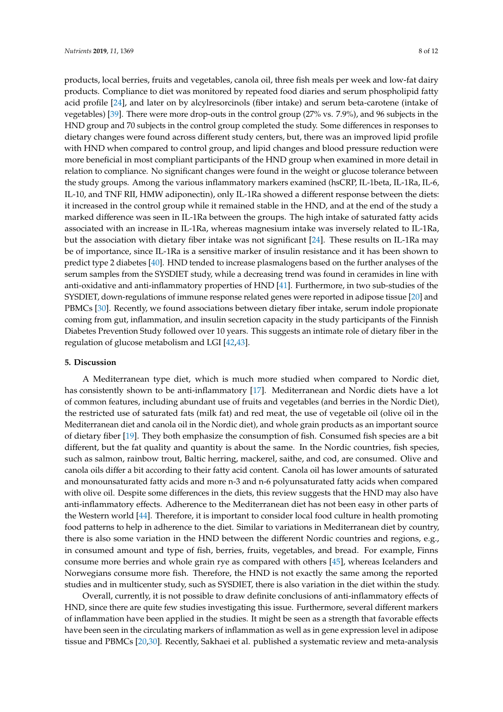products, local berries, fruits and vegetables, canola oil, three fish meals per week and low-fat dairy products. Compliance to diet was monitored by repeated food diaries and serum phospholipid fatty acid profile [\[24\]](#page-10-5), and later on by alcylresorcinols (fiber intake) and serum beta-carotene (intake of vegetables) [\[39\]](#page-11-4). There were more drop-outs in the control group (27% vs. 7.9%), and 96 subjects in the HND group and 70 subjects in the control group completed the study. Some differences in responses to dietary changes were found across different study centers, but, there was an improved lipid profile with HND when compared to control group, and lipid changes and blood pressure reduction were more beneficial in most compliant participants of the HND group when examined in more detail in relation to compliance. No significant changes were found in the weight or glucose tolerance between the study groups. Among the various inflammatory markers examined (hsCRP, IL-1beta, IL-1Ra, IL-6, IL-10, and TNF RII, HMW adiponectin), only IL-1Ra showed a different response between the diets: it increased in the control group while it remained stable in the HND, and at the end of the study a marked difference was seen in IL-1Ra between the groups. The high intake of saturated fatty acids associated with an increase in IL-1Ra, whereas magnesium intake was inversely related to IL-1Ra, but the association with dietary fiber intake was not significant [\[24\]](#page-10-5). These results on IL-1Ra may be of importance, since IL-1Ra is a sensitive marker of insulin resistance and it has been shown to predict type 2 diabetes [\[40\]](#page-11-5). HND tended to increase plasmalogens based on the further analyses of the serum samples from the SYSDIET study, while a decreasing trend was found in ceramides in line with anti-oxidative and anti-inflammatory properties of HND [\[41\]](#page-11-6). Furthermore, in two sub-studies of the SYSDIET, down-regulations of immune response related genes were reported in adipose tissue [\[20\]](#page-10-1) and PBMCs [\[30\]](#page-10-11). Recently, we found associations between dietary fiber intake, serum indole propionate coming from gut, inflammation, and insulin secretion capacity in the study participants of the Finnish Diabetes Prevention Study followed over 10 years. This suggests an intimate role of dietary fiber in the regulation of glucose metabolism and LGI [\[42,](#page-11-7)[43\]](#page-11-8).

#### **5. Discussion**

A Mediterranean type diet, which is much more studied when compared to Nordic diet, has consistently shown to be anti-inflammatory [\[17\]](#page-9-13). Mediterranean and Nordic diets have a lot of common features, including abundant use of fruits and vegetables (and berries in the Nordic Diet), the restricted use of saturated fats (milk fat) and red meat, the use of vegetable oil (olive oil in the Mediterranean diet and canola oil in the Nordic diet), and whole grain products as an important source of dietary fiber [\[19\]](#page-10-0). They both emphasize the consumption of fish. Consumed fish species are a bit different, but the fat quality and quantity is about the same. In the Nordic countries, fish species, such as salmon, rainbow trout, Baltic herring, mackerel, saithe, and cod, are consumed. Olive and canola oils differ a bit according to their fatty acid content. Canola oil has lower amounts of saturated and monounsaturated fatty acids and more n-3 and n-6 polyunsaturated fatty acids when compared with olive oil. Despite some differences in the diets, this review suggests that the HND may also have anti-inflammatory effects. Adherence to the Mediterranean diet has not been easy in other parts of the Western world [\[44\]](#page-11-9). Therefore, it is important to consider local food culture in health promoting food patterns to help in adherence to the diet. Similar to variations in Mediterranean diet by country, there is also some variation in the HND between the different Nordic countries and regions, e.g., in consumed amount and type of fish, berries, fruits, vegetables, and bread. For example, Finns consume more berries and whole grain rye as compared with others [\[45\]](#page-11-10), whereas Icelanders and Norwegians consume more fish. Therefore, the HND is not exactly the same among the reported studies and in multicenter study, such as SYSDIET, there is also variation in the diet within the study.

Overall, currently, it is not possible to draw definite conclusions of anti-inflammatory effects of HND, since there are quite few studies investigating this issue. Furthermore, several different markers of inflammation have been applied in the studies. It might be seen as a strength that favorable effects have been seen in the circulating markers of inflammation as well as in gene expression level in adipose tissue and PBMCs [\[20,](#page-10-1)[30\]](#page-10-11). Recently, Sakhaei et al. published a systematic review and meta-analysis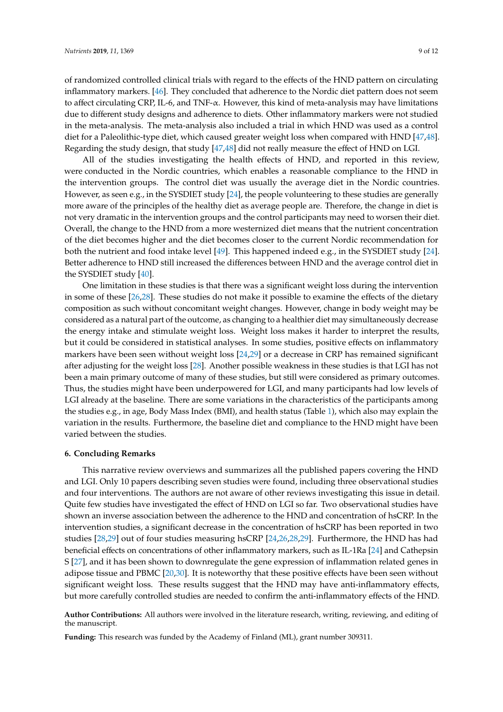of randomized controlled clinical trials with regard to the effects of the HND pattern on circulating inflammatory markers. [\[46\]](#page-11-11). They concluded that adherence to the Nordic diet pattern does not seem to affect circulating CRP, IL-6, and TNF-α. However, this kind of meta-analysis may have limitations due to different study designs and adherence to diets. Other inflammatory markers were not studied in the meta-analysis. The meta-analysis also included a trial in which HND was used as a control diet for a Paleolithic-type diet, which caused greater weight loss when compared with HND [\[47,](#page-11-12)[48\]](#page-11-13). Regarding the study design, that study [\[47](#page-11-12)[,48\]](#page-11-13) did not really measure the effect of HND on LGI.

All of the studies investigating the health effects of HND, and reported in this review, were conducted in the Nordic countries, which enables a reasonable compliance to the HND in the intervention groups. The control diet was usually the average diet in the Nordic countries. However, as seen e.g., in the SYSDIET study [\[24\]](#page-10-5), the people volunteering to these studies are generally more aware of the principles of the healthy diet as average people are. Therefore, the change in diet is not very dramatic in the intervention groups and the control participants may need to worsen their diet. Overall, the change to the HND from a more westernized diet means that the nutrient concentration of the diet becomes higher and the diet becomes closer to the current Nordic recommendation for both the nutrient and food intake level [\[49\]](#page-11-14). This happened indeed e.g., in the SYSDIET study [\[24\]](#page-10-5). Better adherence to HND still increased the differences between HND and the average control diet in the SYSDIET study [\[40\]](#page-11-5).

One limitation in these studies is that there was a significant weight loss during the intervention in some of these [\[26](#page-10-7)[,28\]](#page-10-9). These studies do not make it possible to examine the effects of the dietary composition as such without concomitant weight changes. However, change in body weight may be considered as a natural part of the outcome, as changing to a healthier diet may simultaneously decrease the energy intake and stimulate weight loss. Weight loss makes it harder to interpret the results, but it could be considered in statistical analyses. In some studies, positive effects on inflammatory markers have been seen without weight loss [\[24](#page-10-5)[,29\]](#page-10-10) or a decrease in CRP has remained significant after adjusting for the weight loss [\[28\]](#page-10-9). Another possible weakness in these studies is that LGI has not been a main primary outcome of many of these studies, but still were considered as primary outcomes. Thus, the studies might have been underpowered for LGI, and many participants had low levels of LGI already at the baseline. There are some variations in the characteristics of the participants among the studies e.g., in age, Body Mass Index (BMI), and health status (Table [1\)](#page-2-0), which also may explain the variation in the results. Furthermore, the baseline diet and compliance to the HND might have been varied between the studies.

## **6. Concluding Remarks**

This narrative review overviews and summarizes all the published papers covering the HND and LGI. Only 10 papers describing seven studies were found, including three observational studies and four interventions. The authors are not aware of other reviews investigating this issue in detail. Quite few studies have investigated the effect of HND on LGI so far. Two observational studies have shown an inverse association between the adherence to the HND and concentration of hsCRP. In the intervention studies, a significant decrease in the concentration of hsCRP has been reported in two studies [\[28](#page-10-9)[,29\]](#page-10-10) out of four studies measuring hsCRP [\[24](#page-10-5)[,26](#page-10-7)[,28](#page-10-9)[,29\]](#page-10-10). Furthermore, the HND has had beneficial effects on concentrations of other inflammatory markers, such as IL-1Ra [\[24\]](#page-10-5) and Cathepsin S [\[27\]](#page-10-8), and it has been shown to downregulate the gene expression of inflammation related genes in adipose tissue and PBMC [\[20,](#page-10-1)[30\]](#page-10-11). It is noteworthy that these positive effects have been seen without significant weight loss. These results suggest that the HND may have anti-inflammatory effects, but more carefully controlled studies are needed to confirm the anti-inflammatory effects of the HND.

**Author Contributions:** All authors were involved in the literature research, writing, reviewing, and editing of the manuscript.

**Funding:** This research was funded by the Academy of Finland (ML), grant number 309311.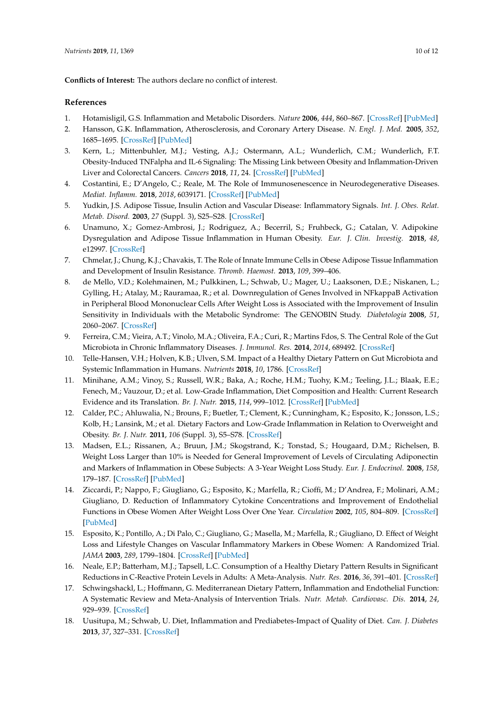**Conflicts of Interest:** The authors declare no conflict of interest.

## **References**

- <span id="page-9-0"></span>1. Hotamisligil, G.S. Inflammation and Metabolic Disorders. *Nature* **2006**, *444*, 860–867. [\[CrossRef\]](http://dx.doi.org/10.1038/nature05485) [\[PubMed\]](http://www.ncbi.nlm.nih.gov/pubmed/17167474)
- 2. Hansson, G.K. Inflammation, Atherosclerosis, and Coronary Artery Disease. *N. Engl. J. Med.* **2005**, *352*, 1685–1695. [\[CrossRef\]](http://dx.doi.org/10.1056/NEJMra043430) [\[PubMed\]](http://www.ncbi.nlm.nih.gov/pubmed/15843671)
- <span id="page-9-8"></span>3. Kern, L.; Mittenbuhler, M.J.; Vesting, A.J.; Ostermann, A.L.; Wunderlich, C.M.; Wunderlich, F.T. Obesity-Induced TNFalpha and IL-6 Signaling: The Missing Link between Obesity and Inflammation-Driven Liver and Colorectal Cancers. *Cancers* **2018**, *11*, 24. [\[CrossRef\]](http://dx.doi.org/10.3390/cancers11010024) [\[PubMed\]](http://www.ncbi.nlm.nih.gov/pubmed/30591653)
- <span id="page-9-1"></span>4. Costantini, E.; D'Angelo, C.; Reale, M. The Role of Immunosenescence in Neurodegenerative Diseases. *Mediat. Inflamm.* **2018**, *2018*, 6039171. [\[CrossRef\]](http://dx.doi.org/10.1155/2018/6039171) [\[PubMed\]](http://www.ncbi.nlm.nih.gov/pubmed/29706800)
- <span id="page-9-2"></span>5. Yudkin, J.S. Adipose Tissue, Insulin Action and Vascular Disease: Inflammatory Signals. *Int. J. Obes. Relat. Metab. Disord.* **2003**, *27* (Suppl. 3), S25–S28. [\[CrossRef\]](http://dx.doi.org/10.1038/sj.ijo.0802496)
- <span id="page-9-3"></span>6. Unamuno, X.; Gomez-Ambrosi, J.; Rodriguez, A.; Becerril, S.; Fruhbeck, G.; Catalan, V. Adipokine Dysregulation and Adipose Tissue Inflammation in Human Obesity. *Eur. J. Clin. Investig.* **2018**, *48*, e12997. [\[CrossRef\]](http://dx.doi.org/10.1111/eci.12997)
- <span id="page-9-4"></span>7. Chmelar, J.; Chung, K.J.; Chavakis, T. The Role of Innate Immune Cells in Obese Adipose Tissue Inflammation and Development of Insulin Resistance. *Thromb. Haemost.* **2013**, *109*, 399–406.
- <span id="page-9-5"></span>8. de Mello, V.D.; Kolehmainen, M.; Pulkkinen, L.; Schwab, U.; Mager, U.; Laaksonen, D.E.; Niskanen, L.; Gylling, H.; Atalay, M.; Rauramaa, R.; et al. Downregulation of Genes Involved in NFkappaB Activation in Peripheral Blood Mononuclear Cells After Weight Loss is Associated with the Improvement of Insulin Sensitivity in Individuals with the Metabolic Syndrome: The GENOBIN Study. *Diabetologia* **2008**, *51*, 2060–2067. [\[CrossRef\]](http://dx.doi.org/10.1007/s00125-008-1132-7)
- <span id="page-9-6"></span>9. Ferreira, C.M.; Vieira, A.T.; Vinolo, M.A.; Oliveira, F.A.; Curi, R.; Martins Fdos, S. The Central Role of the Gut Microbiota in Chronic Inflammatory Diseases. *J. Immunol. Res.* **2014**, *2014*, 689492. [\[CrossRef\]](http://dx.doi.org/10.1155/2014/689492)
- <span id="page-9-7"></span>10. Telle-Hansen, V.H.; Holven, K.B.; Ulven, S.M. Impact of a Healthy Dietary Pattern on Gut Microbiota and Systemic Inflammation in Humans. *Nutrients* **2018**, *10*, 1786. [\[CrossRef\]](http://dx.doi.org/10.3390/nu10111783)
- <span id="page-9-9"></span>11. Minihane, A.M.; Vinoy, S.; Russell, W.R.; Baka, A.; Roche, H.M.; Tuohy, K.M.; Teeling, J.L.; Blaak, E.E.; Fenech, M.; Vauzour, D.; et al. Low-Grade Inflammation, Diet Composition and Health: Current Research Evidence and its Translation. *Br. J. Nutr.* **2015**, *114*, 999–1012. [\[CrossRef\]](http://dx.doi.org/10.1017/S0007114515002093) [\[PubMed\]](http://www.ncbi.nlm.nih.gov/pubmed/26228057)
- <span id="page-9-10"></span>12. Calder, P.C.; Ahluwalia, N.; Brouns, F.; Buetler, T.; Clement, K.; Cunningham, K.; Esposito, K.; Jonsson, L.S.; Kolb, H.; Lansink, M.; et al. Dietary Factors and Low-Grade Inflammation in Relation to Overweight and Obesity. *Br. J. Nutr.* **2011**, *106* (Suppl. 3), S5–S78. [\[CrossRef\]](http://dx.doi.org/10.1017/S0007114511005460)
- 13. Madsen, E.L.; Rissanen, A.; Bruun, J.M.; Skogstrand, K.; Tonstad, S.; Hougaard, D.M.; Richelsen, B. Weight Loss Larger than 10% is Needed for General Improvement of Levels of Circulating Adiponectin and Markers of Inflammation in Obese Subjects: A 3-Year Weight Loss Study. *Eur. J. Endocrinol.* **2008**, *158*, 179–187. [\[CrossRef\]](http://dx.doi.org/10.1530/EJE-07-0721) [\[PubMed\]](http://www.ncbi.nlm.nih.gov/pubmed/18230824)
- 14. Ziccardi, P.; Nappo, F.; Giugliano, G.; Esposito, K.; Marfella, R.; Cioffi, M.; D'Andrea, F.; Molinari, A.M.; Giugliano, D. Reduction of Inflammatory Cytokine Concentrations and Improvement of Endothelial Functions in Obese Women After Weight Loss Over One Year. *Circulation* **2002**, *105*, 804–809. [\[CrossRef\]](http://dx.doi.org/10.1161/hc0702.104279) [\[PubMed\]](http://www.ncbi.nlm.nih.gov/pubmed/11854119)
- <span id="page-9-11"></span>15. Esposito, K.; Pontillo, A.; Di Palo, C.; Giugliano, G.; Masella, M.; Marfella, R.; Giugliano, D. Effect of Weight Loss and Lifestyle Changes on Vascular Inflammatory Markers in Obese Women: A Randomized Trial. *JAMA* **2003**, *289*, 1799–1804. [\[CrossRef\]](http://dx.doi.org/10.1001/jama.289.14.1799) [\[PubMed\]](http://www.ncbi.nlm.nih.gov/pubmed/12684358)
- <span id="page-9-12"></span>16. Neale, E.P.; Batterham, M.J.; Tapsell, L.C. Consumption of a Healthy Dietary Pattern Results in Significant Reductions in C-Reactive Protein Levels in Adults: A Meta-Analysis. *Nutr. Res.* **2016**, *36*, 391–401. [\[CrossRef\]](http://dx.doi.org/10.1016/j.nutres.2016.02.009)
- <span id="page-9-13"></span>17. Schwingshackl, L.; Hoffmann, G. Mediterranean Dietary Pattern, Inflammation and Endothelial Function: A Systematic Review and Meta-Analysis of Intervention Trials. *Nutr. Metab. Cardiovasc. Dis.* **2014**, *24*, 929–939. [\[CrossRef\]](http://dx.doi.org/10.1016/j.numecd.2014.03.003)
- <span id="page-9-14"></span>18. Uusitupa, M.; Schwab, U. Diet, Inflammation and Prediabetes-Impact of Quality of Diet. *Can. J. Diabetes* **2013**, *37*, 327–331. [\[CrossRef\]](http://dx.doi.org/10.1016/j.jcjd.2013.07.029)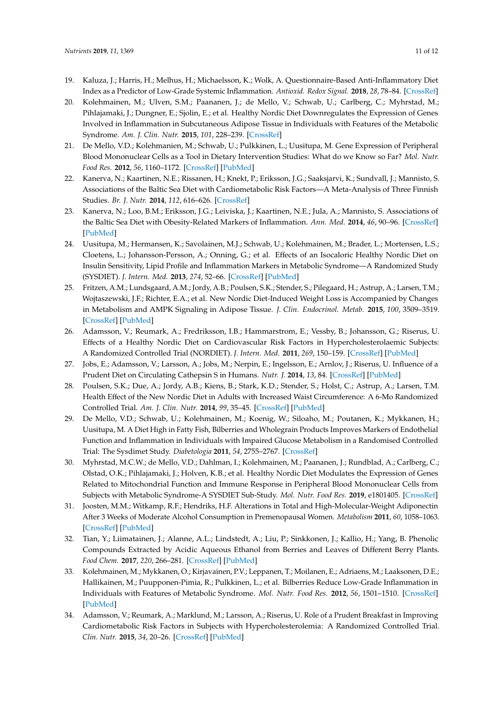- <span id="page-10-17"></span><span id="page-10-15"></span><span id="page-10-14"></span><span id="page-10-13"></span><span id="page-10-12"></span><span id="page-10-0"></span>19. Kaluza, J.; Harris, H.; Melhus, H.; Michaelsson, K.; Wolk, A. Questionnaire-Based Anti-Inflammatory Diet Index as a Predictor of Low-Grade Systemic Inflammation. *Antioxid. Redox Signal.* **2018**, *28*, 78–84. [\[CrossRef\]](http://dx.doi.org/10.1089/ars.2017.7330)
- <span id="page-10-18"></span><span id="page-10-1"></span>20. Kolehmainen, M.; Ulven, S.M.; Paananen, J.; de Mello, V.; Schwab, U.; Carlberg, C.; Myhrstad, M.; Pihlajamaki, J.; Dungner, E.; Sjolin, E.; et al. Healthy Nordic Diet Downregulates the Expression of Genes Involved in Inflammation in Subcutaneous Adipose Tissue in Individuals with Features of the Metabolic Syndrome. *Am. J. Clin. Nutr.* **2015**, *101*, 228–239. [\[CrossRef\]](http://dx.doi.org/10.3945/ajcn.114.092783)
- <span id="page-10-19"></span><span id="page-10-2"></span>21. De Mello, V.D.; Kolehmanien, M.; Schwab, U.; Pulkkinen, L.; Uusitupa, M. Gene Expression of Peripheral Blood Mononuclear Cells as a Tool in Dietary Intervention Studies: What do we Know so Far? *Mol. Nutr. Food Res.* **2012**, *56*, 1160–1172. [\[CrossRef\]](http://dx.doi.org/10.1002/mnfr.201100685) [\[PubMed\]](http://www.ncbi.nlm.nih.gov/pubmed/22610960)
- <span id="page-10-3"></span>22. Kanerva, N.; Kaartinen, N.E.; Rissanen, H.; Knekt, P.; Eriksson, J.G.; Saaksjarvi, K.; Sundvall, J.; Mannisto, S. Associations of the Baltic Sea Diet with Cardiometabolic Risk Factors—A Meta-Analysis of Three Finnish Studies. *Br. J. Nutr.* **2014**, *112*, 616–626. [\[CrossRef\]](http://dx.doi.org/10.1017/S0007114514001159)
- <span id="page-10-20"></span><span id="page-10-4"></span>23. Kanerva, N.; Loo, B.M.; Eriksson, J.G.; Leiviska, J.; Kaartinen, N.E.; Jula, A.; Mannisto, S. Associations of the Baltic Sea Diet with Obesity-Related Markers of Inflammation. *Ann. Med.* **2014**, *46*, 90–96. [\[CrossRef\]](http://dx.doi.org/10.3109/07853890.2013.870020) [\[PubMed\]](http://www.ncbi.nlm.nih.gov/pubmed/24447090)
- <span id="page-10-16"></span><span id="page-10-5"></span>24. Uusitupa, M.; Hermansen, K.; Savolainen, M.J.; Schwab, U.; Kolehmainen, M.; Brader, L.; Mortensen, L.S.; Cloetens, L.; Johansson-Persson, A.; Onning, G.; et al. Effects of an Isocaloric Healthy Nordic Diet on Insulin Sensitivity, Lipid Profile and Inflammation Markers in Metabolic Syndrome—A Randomized Study (SYSDIET). *J. Intern. Med.* **2013**, *274*, 52–66. [\[CrossRef\]](http://dx.doi.org/10.1111/joim.12044) [\[PubMed\]](http://www.ncbi.nlm.nih.gov/pubmed/23398528)
- <span id="page-10-6"></span>25. Fritzen, A.M.; Lundsgaard, A.M.; Jordy, A.B.; Poulsen, S.K.; Stender, S.; Pilegaard, H.; Astrup, A.; Larsen, T.M.; Wojtaszewski, J.F.; Richter, E.A.; et al. New Nordic Diet-Induced Weight Loss is Accompanied by Changes in Metabolism and AMPK Signaling in Adipose Tissue. *J. Clin. Endocrinol. Metab.* **2015**, *100*, 3509–3519. [\[CrossRef\]](http://dx.doi.org/10.1210/jc.2015-2079) [\[PubMed\]](http://www.ncbi.nlm.nih.gov/pubmed/26126206)
- <span id="page-10-7"></span>26. Adamsson, V.; Reumark, A.; Fredriksson, I.B.; Hammarstrom, E.; Vessby, B.; Johansson, G.; Riserus, U. Effects of a Healthy Nordic Diet on Cardiovascular Risk Factors in Hypercholesterolaemic Subjects: A Randomized Controlled Trial (NORDIET). *J. Intern. Med.* **2011**, *269*, 150–159. [\[CrossRef\]](http://dx.doi.org/10.1111/j.1365-2796.2010.02290.x) [\[PubMed\]](http://www.ncbi.nlm.nih.gov/pubmed/20964740)
- <span id="page-10-8"></span>27. Jobs, E.; Adamsson, V.; Larsson, A.; Jobs, M.; Nerpin, E.; Ingelsson, E.; Arnlov, J.; Riserus, U. Influence of a Prudent Diet on Circulating Cathepsin S in Humans. *Nutr. J.* **2014**, *13*, 84. [\[CrossRef\]](http://dx.doi.org/10.1186/1475-2891-13-84) [\[PubMed\]](http://www.ncbi.nlm.nih.gov/pubmed/25128296)
- <span id="page-10-9"></span>28. Poulsen, S.K.; Due, A.; Jordy, A.B.; Kiens, B.; Stark, K.D.; Stender, S.; Holst, C.; Astrup, A.; Larsen, T.M. Health Effect of the New Nordic Diet in Adults with Increased Waist Circumference: A 6-Mo Randomized Controlled Trial. *Am. J. Clin. Nutr.* **2014**, *99*, 35–45. [\[CrossRef\]](http://dx.doi.org/10.3945/ajcn.113.069393) [\[PubMed\]](http://www.ncbi.nlm.nih.gov/pubmed/24257725)
- <span id="page-10-10"></span>29. De Mello, V.D.; Schwab, U.; Kolehmainen, M.; Koenig, W.; Siloaho, M.; Poutanen, K.; Mykkanen, H.; Uusitupa, M. A Diet High in Fatty Fish, Bilberries and Wholegrain Products Improves Markers of Endothelial Function and Inflammation in Individuals with Impaired Glucose Metabolism in a Randomised Controlled Trial: The Sysdimet Study. *Diabetologia* **2011**, *54*, 2755–2767. [\[CrossRef\]](http://dx.doi.org/10.1007/s00125-011-2285-3)
- <span id="page-10-11"></span>30. Myhrstad, M.C.W.; de Mello, V.D.; Dahlman, I.; Kolehmainen, M.; Paananen, J.; Rundblad, A.; Carlberg, C.; Olstad, O.K.; Pihlajamaki, J.; Holven, K.B.; et al. Healthy Nordic Diet Modulates the Expression of Genes Related to Mitochondrial Function and Immune Response in Peripheral Blood Mononuclear Cells from Subjects with Metabolic Syndrome-A SYSDIET Sub-Study. *Mol. Nutr. Food Res.* **2019**, e1801405. [\[CrossRef\]](http://dx.doi.org/10.1002/mnfr.201801405)
- <span id="page-10-21"></span>31. Joosten, M.M.; Witkamp, R.F.; Hendriks, H.F. Alterations in Total and High-Molecular-Weight Adiponectin After 3 Weeks of Moderate Alcohol Consumption in Premenopausal Women. *Metabolism* **2011**, *60*, 1058–1063. [\[CrossRef\]](http://dx.doi.org/10.1016/j.metabol.2011.01.001) [\[PubMed\]](http://www.ncbi.nlm.nih.gov/pubmed/21353262)
- <span id="page-10-22"></span>32. Tian, Y.; Liimatainen, J.; Alanne, A.L.; Lindstedt, A.; Liu, P.; Sinkkonen, J.; Kallio, H.; Yang, B. Phenolic Compounds Extracted by Acidic Aqueous Ethanol from Berries and Leaves of Different Berry Plants. *Food Chem.* **2017**, *220*, 266–281. [\[CrossRef\]](http://dx.doi.org/10.1016/j.foodchem.2016.09.145) [\[PubMed\]](http://www.ncbi.nlm.nih.gov/pubmed/27855899)
- <span id="page-10-23"></span>33. Kolehmainen, M.; Mykkanen, O.; Kirjavainen, P.V.; Leppanen, T.; Moilanen, E.; Adriaens, M.; Laaksonen, D.E.; Hallikainen, M.; Puupponen-Pimia, R.; Pulkkinen, L.; et al. Bilberries Reduce Low-Grade Inflammation in Individuals with Features of Metabolic Syndrome. *Mol. Nutr. Food Res.* **2012**, *56*, 1501–1510. [\[CrossRef\]](http://dx.doi.org/10.1002/mnfr.201200195) [\[PubMed\]](http://www.ncbi.nlm.nih.gov/pubmed/22961907)
- <span id="page-10-24"></span>34. Adamsson, V.; Reumark, A.; Marklund, M.; Larsson, A.; Riserus, U. Role of a Prudent Breakfast in Improving Cardiometabolic Risk Factors in Subjects with Hypercholesterolemia: A Randomized Controlled Trial. *Clin. Nutr.* **2015**, *34*, 20–26. [\[CrossRef\]](http://dx.doi.org/10.1016/j.clnu.2014.04.009) [\[PubMed\]](http://www.ncbi.nlm.nih.gov/pubmed/24814382)